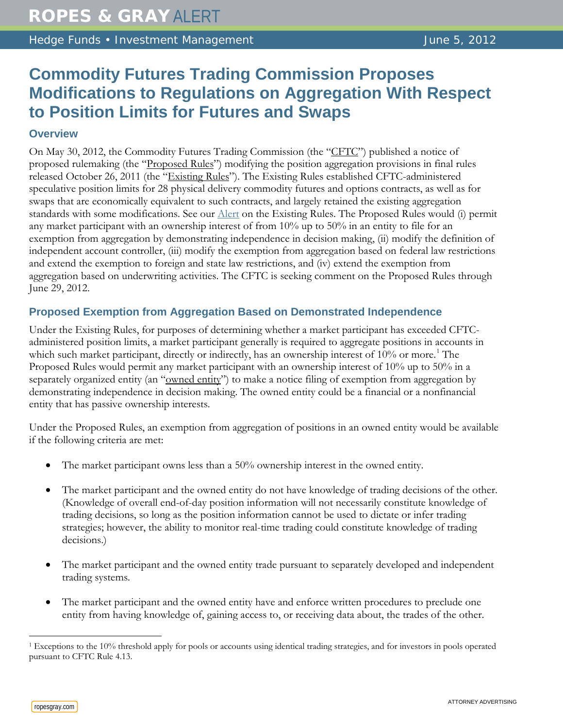Hedge Funds • Investment Management June 5, 2012

# **Commodity Futures Trading Commission Proposes Modifications to Regulations on Aggregation With Respect to Position Limits for Futures and Swaps**

### **Overview**

On May 30, 2012, the Commodity Futures Trading Commission (the "CFTC") published a notice of proposed rulemaking (the "Proposed Rules") modifying the position aggregation provisions in final rules released October 26, 2011 (the "Existing Rules"). The Existing Rules established CFTC-administered speculative position limits for 28 physical delivery commodity futures and options contracts, as well as for swaps that are economically equivalent to such contracts, and largely retained the existing aggregation standards with some modifications. See our [Alert](http://www.ropesgray.com/files/Publication/ab2902c6-68ea-4fc4-a7a7-d6077770860e/Presentation/PublicationAttachment/12269d3d-8733-41ce-b681-d63bf47d1b0d/20111028_HF_Alert.pdf) on the Existing Rules. The Proposed Rules would (i) permit any market participant with an ownership interest of from 10% up to 50% in an entity to file for an exemption from aggregation by demonstrating independence in decision making, (ii) modify the definition of independent account controller, (iii) modify the exemption from aggregation based on federal law restrictions and extend the exemption to foreign and state law restrictions, and (iv) extend the exemption from aggregation based on underwriting activities. The CFTC is seeking comment on the Proposed Rules through June 29, 2012.

# **Proposed Exemption from Aggregation Based on Demonstrated Independence**

Under the Existing Rules, for purposes of determining whether a market participant has exceeded CFTCadministered position limits, a market participant generally is required to aggregate positions in accounts in which such market participant, directly or indirectly, has an ownership interest of [1](#page-0-0)0% or more.<sup>1</sup> The Proposed Rules would permit any market participant with an ownership interest of 10% up to 50% in a separately organized entity (an "owned entity") to make a notice filing of exemption from aggregation by demonstrating independence in decision making. The owned entity could be a financial or a nonfinancial entity that has passive ownership interests.

Under the Proposed Rules, an exemption from aggregation of positions in an owned entity would be available if the following criteria are met:

- The market participant owns less than a 50% ownership interest in the owned entity.
- The market participant and the owned entity do not have knowledge of trading decisions of the other. (Knowledge of overall end-of-day position information will not necessarily constitute knowledge of trading decisions, so long as the position information cannot be used to dictate or infer trading strategies; however, the ability to monitor real-time trading could constitute knowledge of trading decisions.)
- The market participant and the owned entity trade pursuant to separately developed and independent trading systems.
- The market participant and the owned entity have and enforce written procedures to preclude one entity from having knowledge of, gaining access to, or receiving data about, the trades of the other.

 $\overline{a}$ 

<span id="page-0-0"></span><sup>&</sup>lt;sup>1</sup> Exceptions to the 10% threshold apply for pools or accounts using identical trading strategies, and for investors in pools operated pursuant to CFTC Rule 4.13.